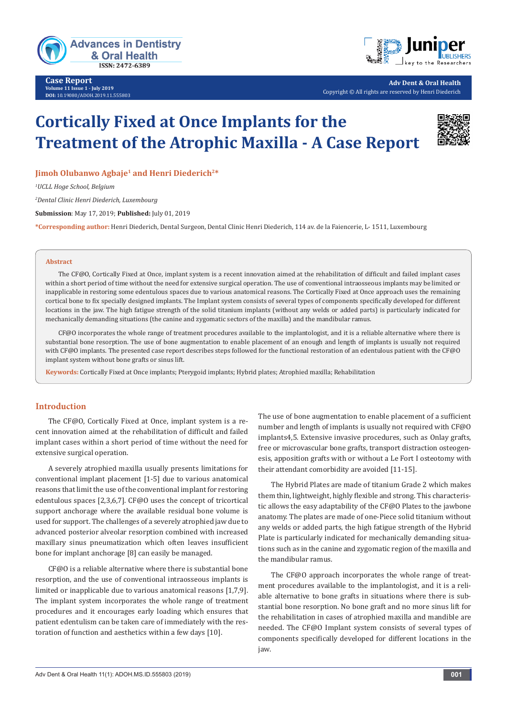

**Case Report Volume 11 Issue 1 - July 2019 DOI:** [10.19080/ADOH.2019.11.555803](http://dx.doi.org/10.19080/ADOH.2019.11.555803)



**Adv Dent & Oral Health** Copyright © All rights are reserved by Henri Diederich

# **Cortically Fixed at Once Implants for the Treatment of the Atrophic Maxilla - A Case Report**



**Jimoh Olubanwo Agbaje<sup>1</sup> and Henri Diederich<sup>2\*</sup>** 

*1 UCLL Hoge School, Belgium*

*2 Dental Clinic Henri Diederich, Luxembourg*

**Submission**: May 17, 2019; **Published:** July 01, 2019

**\*Corresponding author:** Henri Diederich, Dental Surgeon, Dental Clinic Henri Diederich, 114 av. de la Faiencerie, L- 1511, Luxembourg

#### **Abstract**

The CF@O, Cortically Fixed at Once, implant system is a recent innovation aimed at the rehabilitation of difficult and failed implant cases within a short period of time without the need for extensive surgical operation. The use of conventional intraosseous implants may be limited or inapplicable in restoring some edentulous spaces due to various anatomical reasons. The Cortically Fixed at Once approach uses the remaining cortical bone to fix specially designed implants. The Implant system consists of several types of components specifically developed for different locations in the jaw. The high fatigue strength of the solid titanium implants (without any welds or added parts) is particularly indicated for mechanically demanding situations (the canine and zygomatic sectors of the maxilla) and the mandibular ramus.

CF@O incorporates the whole range of treatment procedures available to the implantologist, and it is a reliable alternative where there is substantial bone resorption. The use of bone augmentation to enable placement of an enough and length of implants is usually not required with CF@O implants. The presented case report describes steps followed for the functional restoration of an edentulous patient with the CF@O implant system without bone grafts or sinus lift.

**Keywords:** Cortically Fixed at Once implants; Pterygoid implants; Hybrid plates; Atrophied maxilla; Rehabilitation

### **Introduction**

The CF@O, Cortically Fixed at Once, implant system is a recent innovation aimed at the rehabilitation of difficult and failed implant cases within a short period of time without the need for extensive surgical operation.

A severely atrophied maxilla usually presents limitations for conventional implant placement [1-5] due to various anatomical reasons that limit the use of the conventional implant for restoring edentulous spaces [2,3,6,7]. CF@O uses the concept of tricortical support anchorage where the available residual bone volume is used for support. The challenges of a severely atrophied jaw due to advanced posterior alveolar resorption combined with increased maxillary sinus pneumatization which often leaves insufficient bone for implant anchorage [8] can easily be managed.

CF@O is a reliable alternative where there is substantial bone resorption, and the use of conventional intraosseous implants is limited or inapplicable due to various anatomical reasons [1,7,9]. The implant system incorporates the whole range of treatment procedures and it encourages early loading which ensures that patient edentulism can be taken care of immediately with the restoration of function and aesthetics within a few days [10].

The use of bone augmentation to enable placement of a sufficient number and length of implants is usually not required with CF@O implants4,5. Extensive invasive procedures, such as Onlay grafts, free or microvascular bone grafts, transport distraction osteogenesis, apposition grafts with or without a Le Fort I osteotomy with their attendant comorbidity are avoided [11-15].

The Hybrid Plates are made of titanium Grade 2 which makes them thin, lightweight, highly flexible and strong. This characteristic allows the easy adaptability of the CF@O Plates to the jawbone anatomy. The plates are made of one-Piece solid titanium without any welds or added parts, the high fatigue strength of the Hybrid Plate is particularly indicated for mechanically demanding situations such as in the canine and zygomatic region of the maxilla and the mandibular ramus.

The CF@O approach incorporates the whole range of treatment procedures available to the implantologist, and it is a reliable alternative to bone grafts in situations where there is substantial bone resorption. No bone graft and no more sinus lift for the rehabilitation in cases of atrophied maxilla and mandible are needed. The CF@O Implant system consists of several types of components specifically developed for different locations in the jaw.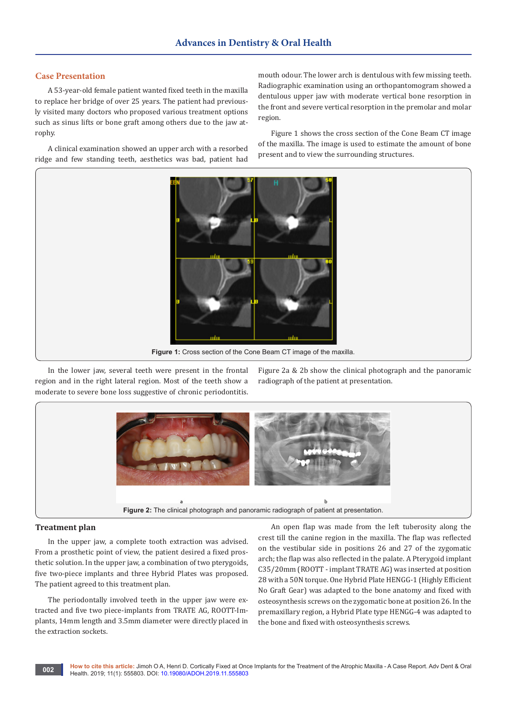#### **Case Presentation**

A 53-year-old female patient wanted fixed teeth in the maxilla to replace her bridge of over 25 years. The patient had previously visited many doctors who proposed various treatment options such as sinus lifts or bone graft among others due to the jaw atrophy.

A clinical examination showed an upper arch with a resorbed ridge and few standing teeth, aesthetics was bad, patient had

mouth odour. The lower arch is dentulous with few missing teeth. Radiographic examination using an orthopantomogram showed a dentulous upper jaw with moderate vertical bone resorption in the front and severe vertical resorption in the premolar and molar region.

Figure 1 shows the cross section of the Cone Beam CT image of the maxilla. The image is used to estimate the amount of bone

present and to view the surrounding structures.

**Figure 1:** Cross section of the Cone Beam CT image of the maxilla.

In the lower jaw, several teeth were present in the frontal region and in the right lateral region. Most of the teeth show a moderate to severe bone loss suggestive of chronic periodontitis.

Figure 2a & 2b show the clinical photograph and the panoramic radiograph of the patient at presentation.



#### **Treatment plan**

In the upper jaw, a complete tooth extraction was advised. From a prosthetic point of view, the patient desired a fixed prosthetic solution. In the upper jaw, a combination of two pterygoids, five two-piece implants and three Hybrid Plates was proposed. The patient agreed to this treatment plan.

The periodontally involved teeth in the upper jaw were extracted and five two piece-implants from TRATE AG, ROOTT-Implants, 14mm length and 3.5mm diameter were directly placed in the extraction sockets.

An open flap was made from the left tuberosity along the crest till the canine region in the maxilla. The flap was reflected on the vestibular side in positions 26 and 27 of the zygomatic arch; the flap was also reflected in the palate. A Pterygoid implant C35/20mm (ROOTT - implant TRATE AG) was inserted at position 28 with a 50N torque. One Hybrid Plate HENGG-1 (Highly Efficient No Graft Gear) was adapted to the bone anatomy and fixed with osteosynthesis screws on the zygomatic bone at position 26. In the premaxillary region, a Hybrid Plate type HENGG-4 was adapted to the bone and fixed with osteosynthesis screws.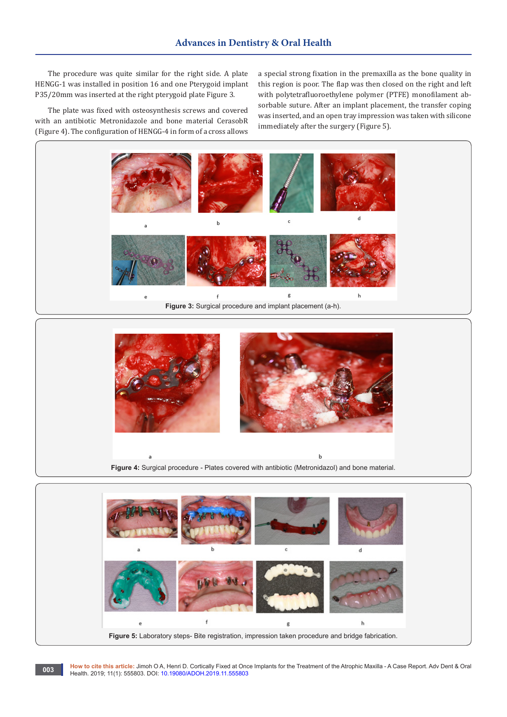The procedure was quite similar for the right side. A plate HENGG-1 was installed in position 16 and one Pterygoid implant P35/20mm was inserted at the right pterygoid plate Figure 3.

The plate was fixed with osteosynthesis screws and covered with an antibiotic Metronidazole and bone material CerasobR (Figure 4). The configuration of HENGG-4 in form of a cross allows

a special strong fixation in the premaxilla as the bone quality in this region is poor. The flap was then closed on the right and left with polytetrafluoroethylene polymer (PTFE) monofilament absorbable suture. After an implant placement, the transfer coping was inserted, and an open tray impression was taken with silicone immediately after the surgery (Figure 5).



**Figure 4:** Surgical procedure - Plates covered with antibiotic (Metronidazol) and bone material.



**How to cite this article:** Jimoh O A, Henri D. Cortically Fixed at Once Implants for the Treatment of the Atrophic Maxilla - A Case Report. Adv Dent & Oral Health. 2019; 11(1): 555803. DOI: [10.19080/ADOH.2019.11.555803](http://dx.doi.org/10.19080/ADOH.2019.11.555803)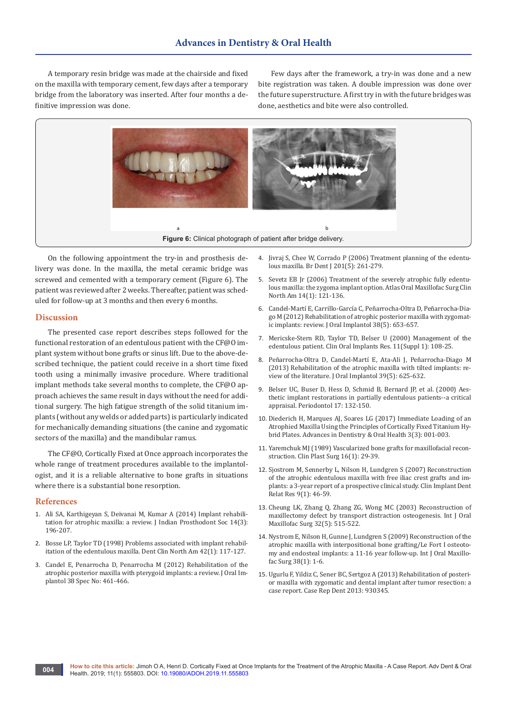A temporary resin bridge was made at the chairside and fixed on the maxilla with temporary cement, few days after a temporary bridge from the laboratory was inserted. After four months a definitive impression was done.

Few days after the framework, a try-in was done and a new bite registration was taken. A double impression was done over the future superstructure. A first try in with the future bridges was done, aesthetics and bite were also controlled.



On the following appointment the try-in and prosthesis delivery was done. In the maxilla, the metal ceramic bridge was screwed and cemented with a temporary cement (Figure 6). The patient was reviewed after 2 weeks. Thereafter, patient was scheduled for follow-up at 3 months and then every 6 months.

#### **Discussion**

The presented case report describes steps followed for the functional restoration of an edentulous patient with the CF@O implant system without bone grafts or sinus lift. Due to the above-described technique, the patient could receive in a short time fixed tooth using a minimally invasive procedure. Where traditional implant methods take several months to complete, the CF@O approach achieves the same result in days without the need for additional surgery. The high fatigue strength of the solid titanium implants (without any welds or added parts) is particularly indicated for mechanically demanding situations (the canine and zygomatic sectors of the maxilla) and the mandibular ramus.

The CF@O, Cortically Fixed at Once approach incorporates the whole range of treatment procedures available to the implantologist, and it is a reliable alternative to bone grafts in situations where there is a substantial bone resorption.

#### **References**

- 1. [Ali SA, Karthigeyan S, Deivanai M, Kumar A \(2014\) Implant rehabili](https://www.ncbi.nlm.nih.gov/pubmed/25183902/)[tation for atrophic maxilla: a review. J Indian Prosthodont Soc 14\(3\):](https://www.ncbi.nlm.nih.gov/pubmed/25183902/)  [196-207.](https://www.ncbi.nlm.nih.gov/pubmed/25183902/)
- 2. [Bosse LP, Taylor TD \(1998\) Problems associated with implant rehabil](https://www.ncbi.nlm.nih.gov/pubmed/9421673)[itation of the edentulous maxilla. Dent Clin North Am 42\(1\): 117-127.](https://www.ncbi.nlm.nih.gov/pubmed/9421673)
- 3. [Candel E, Penarrocha D, Penarrocha M \(2012\) Rehabilitation of the](https://www.ncbi.nlm.nih.gov/pubmed/21568718)  [atrophic posterior maxilla with pterygoid implants: a review. J Oral Im](https://www.ncbi.nlm.nih.gov/pubmed/21568718)[plantol 38 Spec No: 461-466.](https://www.ncbi.nlm.nih.gov/pubmed/21568718)
- 4. [Jivraj S, Chee W, Corrado P \(2006\) Treatment planning of the edentu](https://www.ncbi.nlm.nih.gov/pubmed/16960607)[lous maxilla. Br Dent J 201\(5\): 261-279.](https://www.ncbi.nlm.nih.gov/pubmed/16960607)
- 5. [Sevetz EB Jr \(2006\) Treatment of the severely atrophic fully edentu](https://www.ncbi.nlm.nih.gov/pubmed/16522514)[lous maxilla: the zygoma implant option. Atlas Oral Maxillofac Surg Clin](https://www.ncbi.nlm.nih.gov/pubmed/16522514)  [North Am 14\(1\): 121-136.](https://www.ncbi.nlm.nih.gov/pubmed/16522514)
- 6. [Candel-Martí E, Carrillo-García C, Peñarrocha-Oltra D, Peñarrocha-Dia](https://www.ncbi.nlm.nih.gov/pubmed/21332329)[go M \(2012\) Rehabilitation of atrophic posterior maxilla with zygomat](https://www.ncbi.nlm.nih.gov/pubmed/21332329)[ic implants: review. J Oral Implantol 38\(5\): 653-657.](https://www.ncbi.nlm.nih.gov/pubmed/21332329)
- 7. [Mericske-Stern RD, Taylor TD, Belser U \(2000\) Management of the](https://www.ncbi.nlm.nih.gov/pubmed/11168261)  [edentulous patient. Clin Oral Implants Res. 11\(Suppl 1\): 108-25.](https://www.ncbi.nlm.nih.gov/pubmed/11168261)
- 8. [Peñarrocha-Oltra D, Candel-Martí E, Ata-Ali J, Peñarrocha-Diago M](https://www.ncbi.nlm.nih.gov/pubmed/22121829)  [\(2013\) Rehabilitation of the atrophic maxilla with tilted implants: re](https://www.ncbi.nlm.nih.gov/pubmed/22121829)[view of the literature. J Oral Implantol 39\(5\): 625-632.](https://www.ncbi.nlm.nih.gov/pubmed/22121829)
- 9. [Belser UC, Buser D, Hess D, Schmid B, Bernard JP, et al. \(2000\) Aes](https://www.ncbi.nlm.nih.gov/pubmed/10337321)[thetic implant restorations in partially edentulous patients--a critical](https://www.ncbi.nlm.nih.gov/pubmed/10337321)  [appraisal. Periodontol 17: 132-150.](https://www.ncbi.nlm.nih.gov/pubmed/10337321)
- 10. [Diederich H, Marques AJ, Soares LG \(2017\) Immediate Loading of an](https://pdfs.semanticscholar.org/d8e7/4301d4fdb3af53ae09f6fb5061105e18843f.pdf)  [Atrophied Maxilla Using the Principles of Cortically Fixed Titanium Hy](https://pdfs.semanticscholar.org/d8e7/4301d4fdb3af53ae09f6fb5061105e18843f.pdf)[brid Plates. Advances in Dentistry & Oral Health 3\(3\): 001-003.](https://pdfs.semanticscholar.org/d8e7/4301d4fdb3af53ae09f6fb5061105e18843f.pdf)
- 11. [Yaremchuk MJ \(1989\) Vascularized bone grafts for maxillofacial recon](https://www.ncbi.nlm.nih.gov/pubmed/2647347)[struction. Clin Plast Surg 16\(1\): 29-39.](https://www.ncbi.nlm.nih.gov/pubmed/2647347)
- 12. [Sjostrom M, Sennerby L, Nilson H, Lundgren S \(2007\) Reconstruction](https://www.ncbi.nlm.nih.gov/pubmed/17362496)  [of the atrophic edentulous maxilla with free iliac crest grafts and im](https://www.ncbi.nlm.nih.gov/pubmed/17362496)[plants: a 3-year report of a prospective clinical study. Clin Implant Dent](https://www.ncbi.nlm.nih.gov/pubmed/17362496)  [Relat Res 9\(1\): 46-59.](https://www.ncbi.nlm.nih.gov/pubmed/17362496)
- 13. [Cheung LK, Zhang Q, Zhang ZG, Wong MC \(2003\) Reconstruction of](https://www.ncbi.nlm.nih.gov/pubmed/14759111)  [maxillectomy defect by transport distraction osteogenesis. Int J Oral](https://www.ncbi.nlm.nih.gov/pubmed/14759111)  [Maxillofac Surg 32\(5\): 515-522.](https://www.ncbi.nlm.nih.gov/pubmed/14759111)
- 14. [Nystrom E, Nilson H, Gunne J, Lundgren S \(2009\) Reconstruction of the](https://www.ncbi.nlm.nih.gov/pubmed/19046853)  [atrophic maxilla with interpositional bone grafting/Le Fort I osteoto](https://www.ncbi.nlm.nih.gov/pubmed/19046853)[my and endosteal implants: a 11-16 year follow-up. Int J Oral Maxillo](https://www.ncbi.nlm.nih.gov/pubmed/19046853)[fac Surg 38\(1\): 1-6.](https://www.ncbi.nlm.nih.gov/pubmed/19046853)
- 15. [Ugurlu F, Yildiz C, Sener BC, Sertgoz A \(2013\) Rehabilitation of posteri](https://www.ncbi.nlm.nih.gov/pubmed/23533833)[or maxilla with zygomatic and dental implant after tumor resection: a](https://www.ncbi.nlm.nih.gov/pubmed/23533833)  [case report. Case Rep Dent 2013: 930345.](https://www.ncbi.nlm.nih.gov/pubmed/23533833)